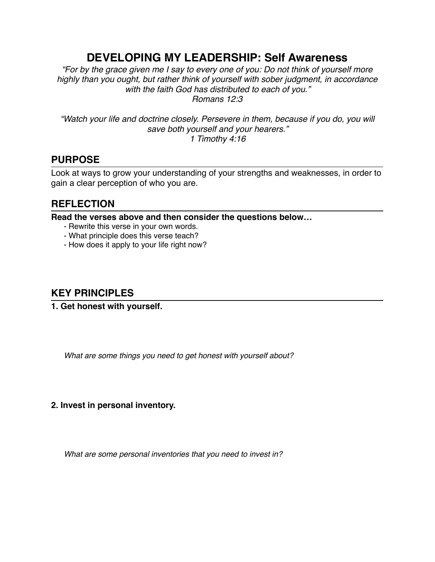# **DEVELOPING MY LEADERSHIP: Self Awareness**

*"For by the grace given me I say to every one of you: Do not think of yourself more highly than you ought, but rather think of yourself with sober judgment, in accordance with the faith God has distributed to each of you." Romans 12:3*

*"Watch your life and doctrine closely. Persevere in them, because if you do, you will save both yourself and your hearers." 1 Timothy 4:16*

### **PURPOSE**

Look at ways to grow your understanding of your strengths and weaknesses, in order to gain a clear perception of who you are.

## **REFLECTION**

**Read the verses above and then consider the questions below…**

- Rewrite this verse in your own words.
- What principle does this verse teach?
- How does it apply to your life right now?

#### **KEY PRINCIPLES**

**1. Get honest with yourself.**

*What are some things you need to get honest with yourself about?*

#### **2. Invest in personal inventory.**

*What are some personal inventories that you need to invest in?*